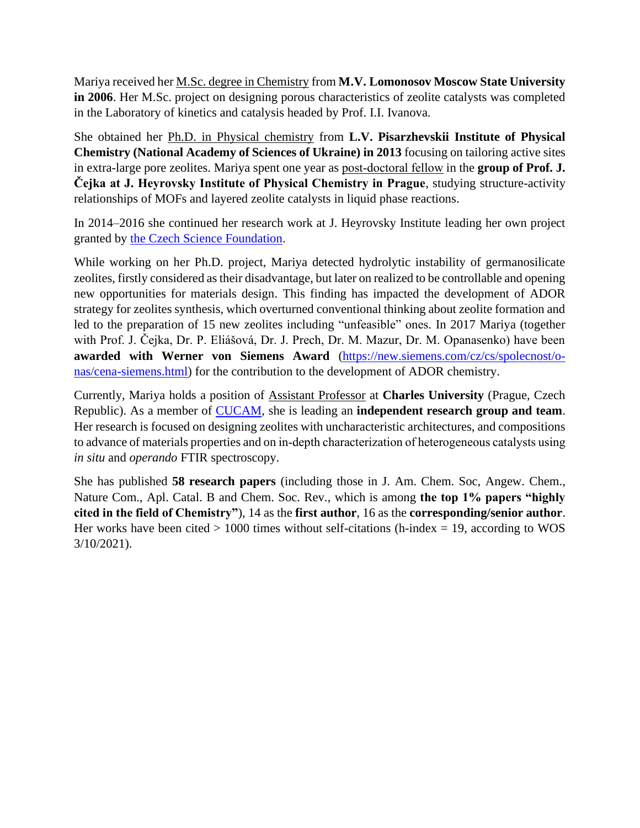Mariya received her M.Sc. degree in Chemistry from **M.V. Lomonosov Moscow State University in 2006**. Her M.Sc. project on designing porous characteristics of zeolite catalysts was completed in the Laboratory of kinetics and catalysis headed by Prof. I.I. Ivanova.

She obtained her Ph.D. in Physical chemistry from **L.V. Pisarzhevskii Institute of Physical Chemistry (National Academy of Sciences of Ukraine) in 2013** focusing on tailoring active sites in extra-large pore zeolites. Mariya spent one year as post‐doctoral fellow in the **group of Prof. J. Čejka at J. Heyrovsky Institute of Physical Chemistry in Prague**, studying structure-activity relationships of MOFs and layered zeolite catalysts in liquid phase reactions.

In 2014–2016 she continued her research work at J. Heyrovsky Institute leading her own project granted by [the Czech Science Foundation.](https://starfos.tacr.cz/en/project/GP14-30898P)

While working on her Ph.D. project, Mariya detected hydrolytic instability of germanosilicate zeolites, firstly considered as their disadvantage, but later on realized to be controllable and opening new opportunities for materials design. This finding has impacted the development of ADOR strategy for zeolites synthesis, which overturned conventional thinking about zeolite formation and led to the preparation of 15 new zeolites including "unfeasible" ones. In 2017 Mariya (together with Prof. J. Čejka, Dr. P. Eliášová, Dr. J. Prech, Dr. M. Mazur, Dr. M. Opanasenko) have been **awarded with Werner von Siemens Award** [\(https://new.siemens.com/cz/cs/spolecnost/o](https://new.siemens.com/cz/cs/spolecnost/o-nas/cena-siemens.html)[nas/cena-siemens.html\)](https://new.siemens.com/cz/cs/spolecnost/o-nas/cena-siemens.html) for the contribution to the development of ADOR chemistry.

Currently, Mariya holds a position of Assistant Professor at **Charles University** (Prague, Czech Republic). As a member of [CUCAM,](http://cucam.cuni.cz/) she is leading an **independent research group and team**. Her research is focused on designing zeolites with uncharacteristic architectures, and compositions to advance of materials properties and on in‐depth characterization of heterogeneous catalysts using *in situ* and *operando* FTIR spectroscopy.

She has published **58 research papers** (including those in J. Am. Chem. Soc, Angew. Chem., Nature Com., Apl. Catal. B and Chem. Soc. Rev., which is among **the top 1% papers "highly cited in the field of Chemistry"**), 14 as the **first author**, 16 as the **corresponding/senior author**. Her works have been cited  $> 1000$  times without self-citations (h-index = 19, according to WOS 3/10/2021).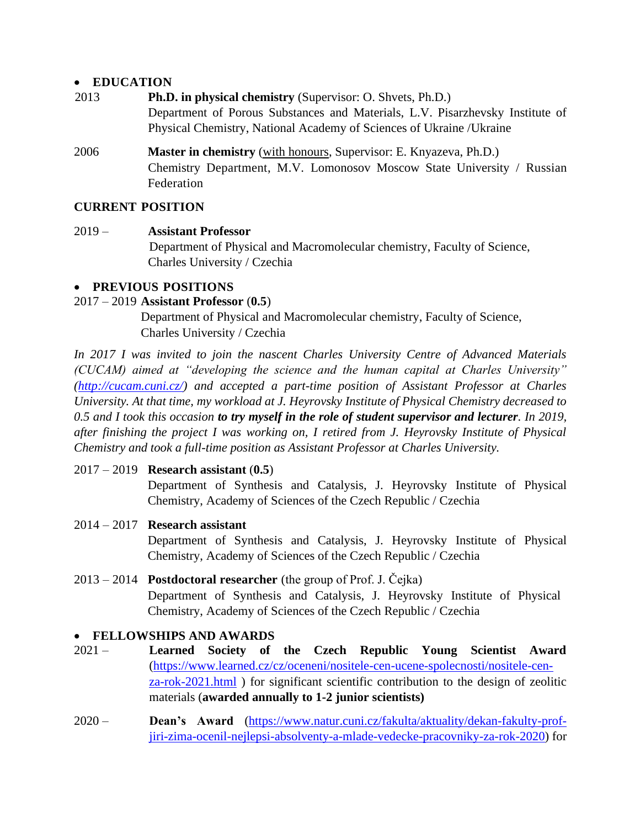#### • **EDUCATION**

- 2013 **Ph.D. in physical chemistry** (Supervisor: O. Shvets, Ph.D.) Department of Porous Substances and Materials, L.V. Pisarzhevsky Institute of Physical Chemistry, National Academy of Sciences of Ukraine /Ukraine
- 2006 **Master in chemistry** (with honours, Supervisor: E. Knyazeva, Ph.D.) Chemistry Department, M.V. Lomonosov Moscow State University / Russian Federation

# **CURRENT POSITION**

#### 2019 – **Assistant Professor**

Department of Physical and Macromolecular chemistry, Faculty of Science, Charles University / Czechia

#### • **PREVIOUS POSITIONS**

#### 2017 – 2019 **Assistant Professor** (**0.5**)

Department of Physical and Macromolecular chemistry, Faculty of Science, Charles University / Czechia

*In 2017 I was invited to join the nascent Charles University Centre of Advanced Materials (CUCAM) aimed at "developing the science and the human capital at Charles University" [\(http://cucam.cuni.cz/\)](http://cucam.cuni.cz/) and accepted a part-time position of Assistant Professor at Charles University. At that time, my workload at J. Heyrovsky Institute of Physical Chemistry decreased to 0.5 and I took this occasion to try myself in the role of student supervisor and lecturer. In 2019, after finishing the project I was working on, I retired from J. Heyrovsky Institute of Physical Chemistry and took a full-time position as Assistant Professor at Charles University.*

## 2017 – 2019 **Research assistant** (**0.5**)

Department of Synthesis and Catalysis, J. Heyrovsky Institute of Physical Chemistry, Academy of Sciences of the Czech Republic / Czechia

- 2014 2017 **Research assistant** Department of Synthesis and Catalysis, J. Heyrovsky Institute of Physical Chemistry, Academy of Sciences of the Czech Republic / Czechia
- 2013 2014 **Postdoctoral researcher** (the group of Prof. J. Čejka) Department of Synthesis and Catalysis, J. Heyrovsky Institute of Physical Chemistry, Academy of Sciences of the Czech Republic / Czechia

## • **FELLOWSHIPS AND AWARDS**

- 2021 **Learned Society of the Czech Republic Young Scientist Award** [\(https://www.learned.cz/cz/oceneni/nositele-cen-ucene-spolecnosti/nositele-cen](https://www.learned.cz/cz/oceneni/nositele-cen-ucene-spolecnosti/nositele-cen-za-rok-2021.html)[za-rok-2021.html](https://www.learned.cz/cz/oceneni/nositele-cen-ucene-spolecnosti/nositele-cen-za-rok-2021.html) ) for significant scientific contribution to the design of zeolitic materials (**awarded annually to 1-2 junior scientists)**
- 2020 **Dean's Award** [\(https://www.natur.cuni.cz/fakulta/aktuality/dekan-fakulty-prof](https://www.natur.cuni.cz/fakulta/aktuality/dekan-fakulty-prof-jiri-zima-ocenil-nejlepsi-absolventy-a-mlade-vedecke-pracovniky-za-rok-2020)[jiri-zima-ocenil-nejlepsi-absolventy-a-mlade-vedecke-pracovniky-za-rok-2020\)](https://www.natur.cuni.cz/fakulta/aktuality/dekan-fakulty-prof-jiri-zima-ocenil-nejlepsi-absolventy-a-mlade-vedecke-pracovniky-za-rok-2020) for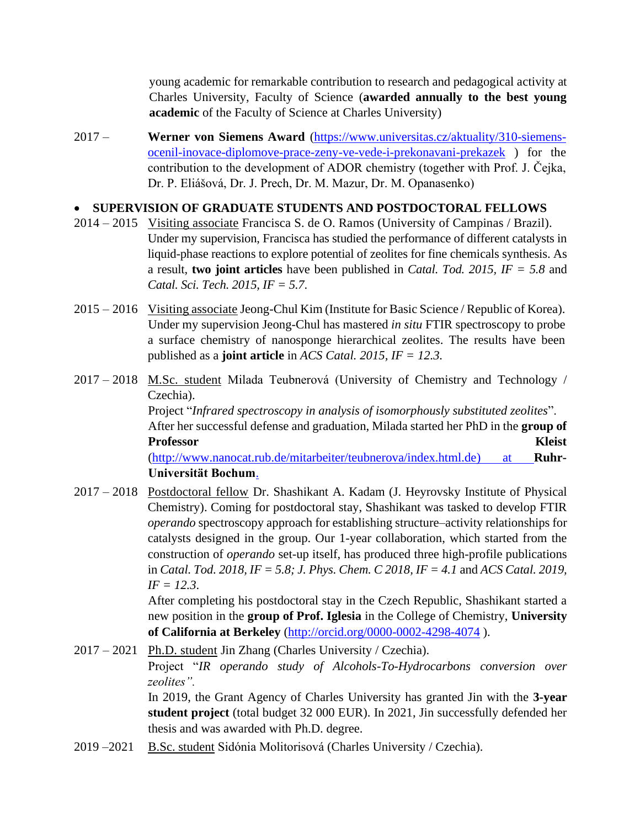young academic for remarkable contribution to research and pedagogical activity at Charles University, Faculty of Science (**awarded annually to the best young academic** of the Faculty of Science at Charles University)

2017 – **Werner von Siemens Award** [\(https://www.universitas.cz/aktuality/310-siemens](https://www.universitas.cz/aktuality/310-siemens-ocenil-inovace-diplomove-prace-zeny-ve-vede-i-prekonavani-prekazek)[ocenil-inovace-diplomove-prace-zeny-ve-vede-i-prekonavani-prekazek](https://www.universitas.cz/aktuality/310-siemens-ocenil-inovace-diplomove-prace-zeny-ve-vede-i-prekonavani-prekazek) ) for the contribution to the development of ADOR chemistry (together with Prof. J. Čejka, Dr. P. Eliášová, Dr. J. Prech, Dr. M. Mazur, Dr. M. Opanasenko)

#### • **SUPERVISION OF GRADUATE STUDENTS AND POSTDOCTORAL FELLOWS**

- 2014 2015 Visiting associate Francisca S. de O. Ramos (University of Campinas / Brazil). Under my supervision, Francisca has studied the performance of different catalysts in liquid-phase reactions to explore potential of zeolites for fine chemicals synthesis. As a result, **two joint articles** have been published in *Catal. Tod. 2015, IF = 5.8* and *Catal. Sci. Tech. 2015, IF = 5.7*.
- 2015 2016 Visiting associate Jeong-Chul Kim (Institute for Basic Science / Republic of Korea). Under my supervision Jeong-Chul has mastered *in situ* FTIR spectroscopy to probe a surface chemistry of nanosponge hierarchical zeolites. The results have been published as a **joint article** in *ACS Catal. 2015, IF = 12.3.*
- 2017 2018 M.Sc. student Milada Teubnerová (University of Chemistry and Technology / Czechia). Project "*Infrared spectroscopy in analysis of isomorphously substituted zeolites*". After her successful defense and graduation, Milada started her PhD in the **group of Professor Kleist** [\(http://www.nanocat.rub.de/mitarbeiter/teubnerova/index.html.de\)](http://www.nanocat.rub.de/mitarbeiter/teubnerova/index.html.de) at **Ruhr-Universität Bochum**.
- 2017 2018 Postdoctoral fellow Dr. Shashikant A. Kadam (J. Heyrovsky Institute of Physical Chemistry). Coming for postdoctoral stay, Shashikant was tasked to develop FTIR *operando* spectroscopy approach for establishing structure–activity relationships for catalysts designed in the group. Our 1-year collaboration, which started from the construction of *operando* set-up itself, has produced three high-profile publications in *Catal. Tod. 2018, IF = 5.8; J. Phys. Chem. C 2018, IF = 4.1* and *ACS Catal. 2019, IF = 12.3*.

After completing his postdoctoral stay in the Czech Republic, Shashikant started a new position in the **group of Prof. Iglesia** in the College of Chemistry, **University of California at Berkeley** [\(http://orcid.org/0000-0002-4298-4074](http://orcid.org/0000-0002-4298-4074) ).

2017 – 2021 Ph.D. student Jin Zhang (Charles University / Czechia). Project "*IR operando study of Alcohols-To-Hydrocarbons conversion over zeolites".* In 2019, the Grant Agency of Charles University has granted Jin with the **3-year student project** (total budget 32 000 EUR). In 2021, Jin successfully defended her thesis and was awarded with Ph.D. degree.

2019 – 2021 B.Sc. student Sidónia Molitorisová (Charles University / Czechia).